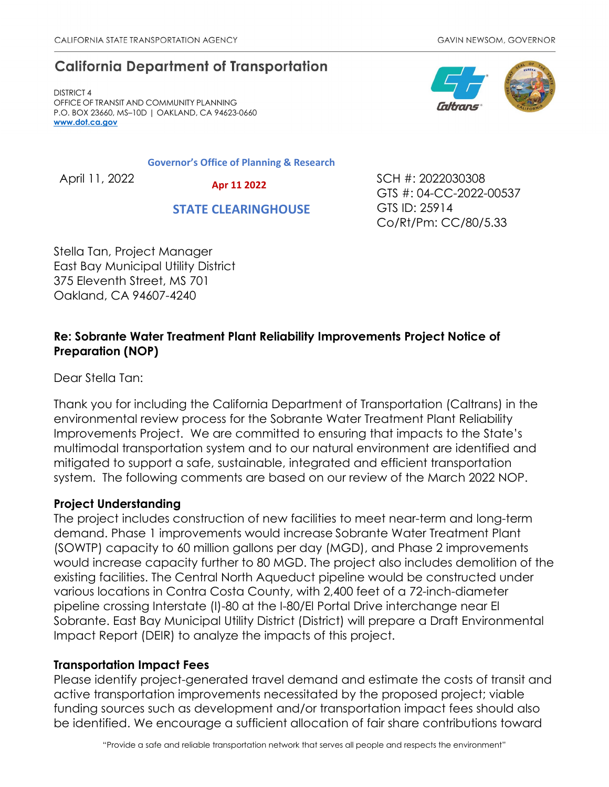# **California Department of Transportation**

DISTRICT 4 OFFICE OF TRANSIT AND COMMUNITY PLANNING P.O. BOX 23660, MS–10D | OAKLAND, CA 94623-0660 **[www.dot.ca.gov](http://www.dot.ca.gov/)**

**Governor's Office of Planning & Research**

 **Apr 11 2022**

 **STATE CLEARINGHOUSE**

April 11, 2022 20030308 GTS #: 04-CC-2022-00537 GTS ID: 25914 Co/Rt/Pm: CC/80/5.33

Stella Tan, Project Manager East Bay Municipal Utility District 375 Eleventh Street, MS 701 Oakland, CA 94607-4240

## **Re: Sobrante Water Treatment Plant Reliability Improvements Project Notice of Preparation (NOP)**

Dear Stella Tan:

Thank you for including the California Department of Transportation (Caltrans) in the environmental review process for the Sobrante Water Treatment Plant Reliability Improvements Project. We are committed to ensuring that impacts to the State's multimodal transportation system and to our natural environment are identified and mitigated to support a safe, sustainable, integrated and efficient transportation system. The following comments are based on our review of the March 2022 NOP.

### **Project Understanding**

The project includes construction of new facilities to meet near-term and long-term demand. Phase 1 improvements would increase Sobrante Water Treatment Plant (SOWTP) capacity to 60 million gallons per day (MGD), and Phase 2 improvements would increase capacity further to 80 MGD. The project also includes demolition of the existing facilities. The Central North Aqueduct pipeline would be constructed under various locations in Contra Costa County, with 2,400 feet of a 72-inch-diameter pipeline crossing Interstate (I)-80 at the I-80/El Portal Drive interchange near El Sobrante. East Bay Municipal Utility District (District) will prepare a Draft Environmental Impact Report (DEIR) to analyze the impacts of this project.

### **Transportation Impact Fees**

Please identify project-generated travel demand and estimate the costs of transit and active transportation improvements necessitated by the proposed project; viable funding sources such as development and/or transportation impact fees should also be identified. We encourage a sufficient allocation of fair share contributions toward

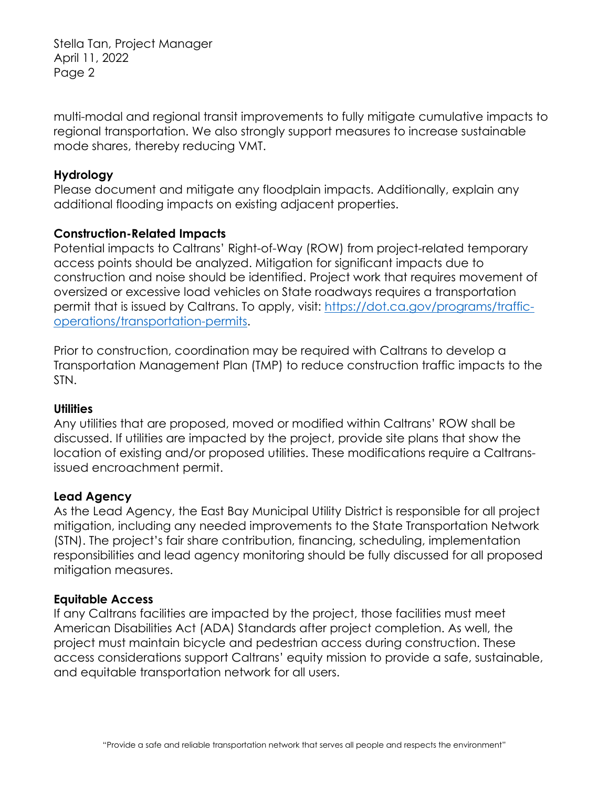Stella Tan, Project Manager April 11, 2022 Page 2

multi-modal and regional transit improvements to fully mitigate cumulative impacts to regional transportation. We also strongly support measures to increase sustainable mode shares, thereby reducing VMT.

#### **Hydrology**

Please document and mitigate any floodplain impacts. Additionally, explain any additional flooding impacts on existing adjacent properties.

### **Construction-Related Impacts**

Potential impacts to Caltrans' Right-of-Way (ROW) from project-related temporary access points should be analyzed. Mitigation for significant impacts due to construction and noise should be identified. Project work that requires movement of oversized or excessive load vehicles on State roadways requires a transportation permit that is issued by Caltrans. To apply, visit: [https://dot.ca.gov/programs/traffic](https://dot.ca.gov/programs/traffic-operations/transportation-permits)[operations/transportation-permits.](https://dot.ca.gov/programs/traffic-operations/transportation-permits)

Prior to construction, coordination may be required with Caltrans to develop a Transportation Management Plan (TMP) to reduce construction traffic impacts to the STN.

#### **Utilities**

Any utilities that are proposed, moved or modified within Caltrans' ROW shall be discussed. If utilities are impacted by the project, provide site plans that show the location of existing and/or proposed utilities. These modifications require a Caltransissued encroachment permit.

### **Lead Agency**

As the Lead Agency, the East Bay Municipal Utility District is responsible for all project mitigation, including any needed improvements to the State Transportation Network (STN). The project's fair share contribution, financing, scheduling, implementation responsibilities and lead agency monitoring should be fully discussed for all proposed mitigation measures.

#### **Equitable Access**

If any Caltrans facilities are impacted by the project, those facilities must meet American Disabilities Act (ADA) Standards after project completion. As well, the project must maintain bicycle and pedestrian access during construction. These access considerations support Caltrans' equity mission to provide a safe, sustainable, and equitable transportation network for all users.